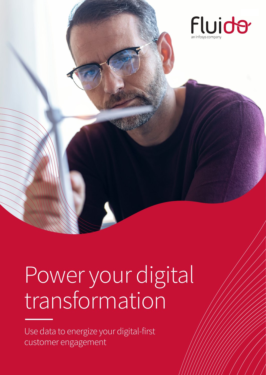

# Power your digital transformation

Use data to energize your digital-first customer engagement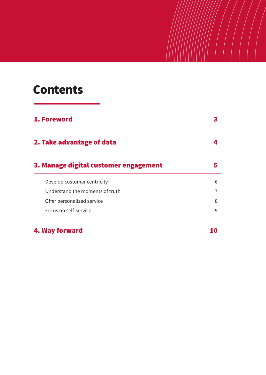## **Contents**

| 1. Foreword                           |   |
|---------------------------------------|---|
| 2. Take advantage of data             |   |
| 3. Manage digital customer engagement |   |
| Develop customer centricity           | 6 |
| Understand the moments of truth       |   |
| Offer personalized service            | 8 |
| Focus on self-service                 | 9 |
| 4. Way forward                        |   |

 $\frac{1}{2}$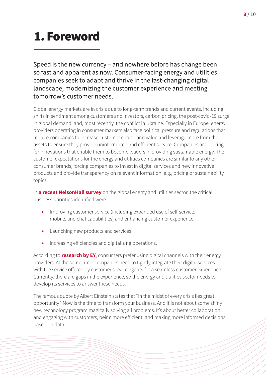# <span id="page-2-0"></span>1. Foreword

Speed is the new currency – and nowhere before has change been so fast and apparent as now. Consumer-facing energy and utilities companies seek to adapt and thrive in the fast-changing digital landscape, modernizing the customer experience and meeting tomorrow's customer needs.

Global energy markets are in crisis due to long-term trends and current events, including shifts in sentiment among customers and investors, carbon pricing, the post-covid-19 surge in global demand, and, most recently, the conflict in Ukraine. Especially in Europe, energy providers operating in consumer markets also face political pressure and regulations that require companies to increase customer choice and value and leverage more from their assets to ensure they provide uninterrupted and efficient service. Companies are looking for innovations that enable them to become leaders in providing sustainable energy. The customer expectations for the energy and utilities companies are similar to any other consumer brands, forcing companies to invest in digital services and new innovative products and provide transparency on relevant information, e.g., pricing or sustainability topics.

In **[a recent NelsonHall survey](https://www.infosys.com/industries/utilities/insights/documents/navigating-future-energy-report.pdf)** on the global energy and utilities sector, the critical business priorities identified were:

- **•** Improving customer service (including expanded use of self-service, mobile, and chat capabilities) and enhancing customer experience
- **•** Launching new products and services
- **•** Increasing efficiencies and digitalizing operations.

According to **[research by EY](https://assets.ey.com/content/dam/ey-sites/ey-com/en_gl/topics/power-and-utilities/ey-navigating-the-energy-transition-consumer-survey.pdf)**, consumers prefer using digital channels with their energy providers. At the same time, companies need to tightly integrate their digital services with the service offered by customer service agents for a seamless customer experience. Currently, there are gaps in the experience, so the energy and utilities sector needs to develop its services to answer these needs.

The famous quote by Albert Einstein states that "in the midst of every crisis lies great opportunity". Now is the time to transform your business. And it is not about some shiny new technology program magically solving all problems. It's about better collaboration and engaging with customers, being more efficient, and making more informed decisions based on data.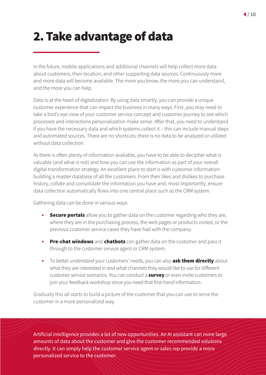# <span id="page-3-0"></span>2. Take advantage of data

In the future, mobile applications and additional channels will help collect more data about customers, their location, and other supporting data sources. Continuously more and more data will become available. The more you know, the more you can understand, and the more you can help.

Data is at the heart of digitalization. By using data smartly, you can provide a unique customer experience that can impact the business in many ways. First, you may need to take a bird's eye view of your customer service concept and customer journey to see which processes and interactions personalization make sense. After that, you need to understand if you have the necessary data and which systems collect it – this can include manual steps and automated sources. There are no shortcuts; there is no data to be analyzed or utilized without data collection.

As there is often plenty of information available, you have to be able to decipher what is valuable (and what is not) and how you can use the information as part of your overall digital transformation strategy. An excellent place to start is with customer information: building a master database of all the customers. From their likes and dislikes to purchase history, collate and consolidate the information you have and, most importantly, ensure data collection automatically flows into one central place such as the CRM system.

Gathering data can be done in various ways:

- **•** Secure portals allow you to gather data on the customer regarding who they are, where they are in the purchasing process, the web pages or products visited, or the previous customer service cases they have had with the company.
- **•** Pre-chat windows and chatbots can gather data on the customer and pass it through to the customer service agent or CRM system.
- To better understand your customers' needs, you can also **ask them directly** about what they are interested in and what channels they would like to use for different customer service scenarios. You can conduct a **survey** or even invite customers to join your feedback workshop since you need that first-hand information.

Gradually this all starts to build a picture of the customer that you can use to serve the customer in a more personalized way.

Artificial intelligence provides a lot of new opportunities. An AI assistant can mine large amounts of data about the customer and give the customer recommended solutions directly. It can simply help the customer service agent or sales rep provide a more personalized service to the customer.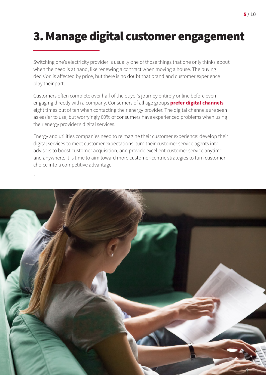# <span id="page-4-0"></span>3. Manage digital customer engagement

Switching one's electricity provider is usually one of those things that one only thinks about when the need is at hand, like renewing a contract when moving a house. The buying decision is affected by price, but there is no doubt that brand and customer experience play their part.

Customers often complete over half of the buyer's journey entirely online before even engaging directly with a company. Consumers of all age groups **[prefer digital channels](https://assets.ey.com/content/dam/ey-sites/ey-com/en_gl/topics/power-and-utilities/ey-navigating-the-energy-transition-consumer-survey.pdf)** eight times out of ten when contacting their energy provider. The digital channels are seen as easier to use, but worryingly 60% of consumers have experienced problems when using their energy provider's digital services.

Energy and utilities companies need to reimagine their customer experience: develop their digital services to meet customer expectations, turn their customer service agents into advisors to boost customer acquisition, and provide excellent customer service anytime and anywhere. It is time to aim toward more customer-centric strategies to turn customer choice into a competitive advantage.

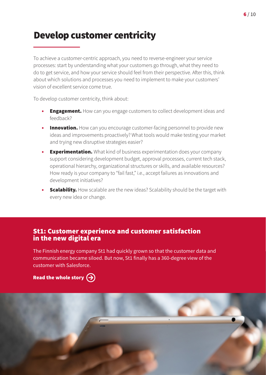## <span id="page-5-0"></span>Develop customer centricity

To achieve a customer-centric approach, you need to reverse-engineer your service processes: start by understanding what your customers go through, what they need to do to get service, and how your service should feel from their perspective. After this, think about which solutions and processes you need to implement to make your customers' vision of excellent service come true.

To develop customer centricity, think about:

- **Engagement.** How can you engage customers to collect development ideas and feedback?
- **•** Innovation. How can you encourage customer-facing personnel to provide new ideas and improvements proactively? What tools would make testing your market and trying new disruptive strategies easier?
- **• Experimentation.** What kind of business experimentation does your company support considering development budget, approval processes, current tech stack, operational hierarchy, organizational structures or skills, and available resources? How ready is your company to "fail fast," i.e., accept failures as innovations and development initiatives?
- **•** Scalability. How scalable are the new ideas? Scalability should be the target with every new idea or change.

### St1: Customer experience and customer satisfaction in the new digital era

The Finnish energy company St1 had quickly grown so that the customer data and communication became siloed. But now, St1 finally has a 360-degree view of the customer with Salesforce.

[Read the whole story](https://www.fluidogroup.com/reference/st1-customer-experience-customer-satisfaction-in-the-new-digital-era/)  $\left(\rightarrow\right)$ 

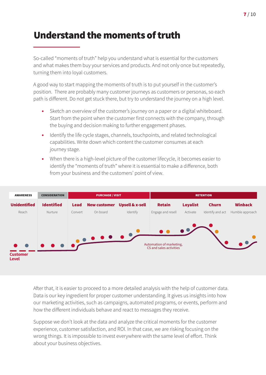## <span id="page-6-0"></span>Understand the moments of truth

So-called "moments of truth" help you understand what is essential for the customers and what makes them buy your services and products. And not only once but repeatedly, turning them into loyal customers.

A good way to start mapping the moments of truth is to put yourself in the customer's position. There are probably many customer journeys as customers or personas, so each path is different. Do not get stuck there, but try to understand the journey on a high level.

- **•** Sketch an overview of the customer's journey on a paper or a digital whiteboard. Start from the point when the customer first connects with the company, through the buying and decision making to further engagement phases.
- **•** Identify the life cycle stages, channels, touchpoints, and related technological capabilities. Write down which content the customer consumes at each journey stage.
- **•** When there is a high-level picture of the customer lifecycle, it becomes easier to identify the "moments of truth" where it is essential to make a difference, both from your business and the customers' point of view.



After that, it is easier to proceed to a more detailed analysis with the help of customer data. Data is our key ingredient for proper customer understanding. It gives us insights into how our marketing activities, such as campaigns, automated programs, or events, perform and how the different individuals behave and react to messages they receive.

Suppose we don't look at the data and analyze the critical moments for the customer experience, customer satisfaction, and ROI. In that case, we are risking focusing on the wrong things. It is impossible to invest everywhere with the same level of effort. Think about your business objectives.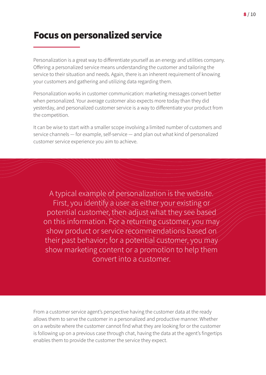## <span id="page-7-0"></span>Focus on personalized service

Personalization is a great way to differentiate yourself as an energy and utilities company. Offering a personalized service means understanding the customer and tailoring the service to their situation and needs. Again, there is an inherent requirement of knowing your customers and gathering and utilizing data regarding them.

Personalization works in customer communication: marketing messages convert better when personalized. Your average customer also expects more today than they did yesterday, and personalized customer service is a way to differentiate your product from the competition.

It can be wise to start with a smaller scope involving a limited number of customers and service channels — for example, self-service — and plan out what kind of personalized customer service experience you aim to achieve.

A typical example of personalization is the website. First, you identify a user as either your existing or potential customer, then adjust what they see based on this information. For a returning customer, you may show product or service recommendations based on their past behavior; for a potential customer, you may show marketing content or a promotion to help them convert into a customer.

From a customer service agent's perspective having the customer data at the ready allows them to serve the customer in a personalized and productive manner. Whether on a website where the customer cannot find what they are looking for or the customer is following up on a previous case through chat, having the data at the agent's fingertips enables them to provide the customer the service they expect.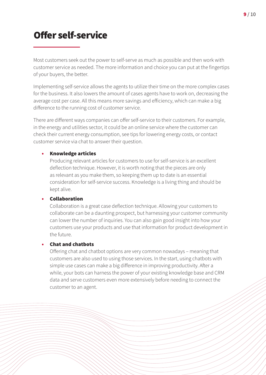## <span id="page-8-0"></span>Offer self-service

Most customers seek out the power to self-serve as much as possible and then work with customer service as needed. The more information and choice you can put at the fingertips of your buyers, the better.

Implementing self-service allows the agents to utilize their time on the more complex cases for the business. It also lowers the amount of cases agents have to work on, decreasing the average cost per case. All this means more savings and efficiency, which can make a big difference to the running cost of customer service.

There are different ways companies can offer self-service to their customers. For example, in the energy and utilities sector, it could be an online service where the customer can check their current energy consumption, see tips for lowering energy costs, or contact customer service via chat to answer their question.

#### **•** Knowledge articles

Producing relevant articles for customers to use for self-service is an excellent deflection technique. However, it is worth noting that the pieces are only as relevant as you make them, so keeping them up to date is an essential consideration for self-service success. Knowledge is a living thing and should be kept alive.

#### **•** Collaboration

Collaboration is a great case deflection technique. Allowing your customers to collaborate can be a daunting prospect, but harnessing your customer community can lower the number of inquiries. You can also gain good insight into how your customers use your products and use that information for product development in the future.

#### **•** Chat and chatbots

Offering chat and chatbot options are very common nowadays – meaning that customers are also used to using those services. In the start, using chatbots with simple use cases can make a big difference in improving productivity. After a while, your bots can harness the power of your existing knowledge base and CRM data and serve customers even more extensively before needing to connect the customer to an agent.